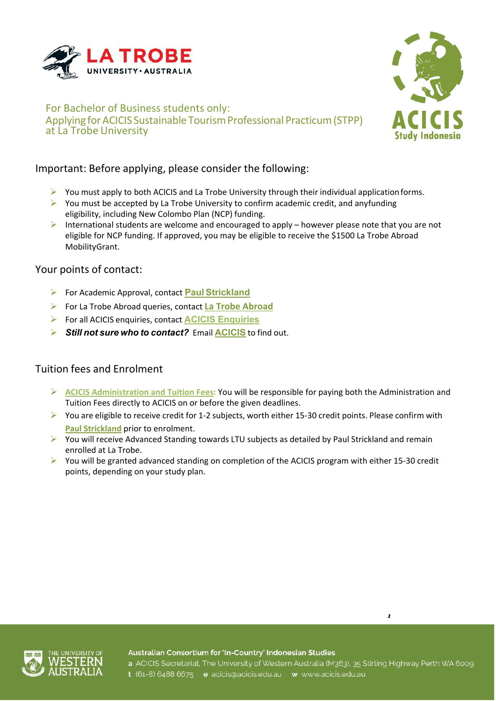



# Important: Before applying, please consider the following:

- $\triangleright$  You must apply to both ACICIS and La Trobe University through their individual application forms.
- $\triangleright$  You must be accepted by La Trobe University to confirm academic credit, and anyfunding eligibility, including New Colombo Plan (NCP) funding.
- International students are welcome and encouraged to apply however please note that you are not eligible for NCP funding. If approved, you may be eligible to receive the \$1500 La Trobe Abroad MobilityGrant.

#### Your points of contact:

- For Academic Approval, contact **Paul [Strickland](mailto:p.strickland@latrobe.edu.au)**
- For La Trobe Abroad queries, contact **[La Trobe Abroad](mailto:studyabroad@latrobe.edu.au)**
- For all ACICIS enquiries, contact **ACICIS [Enquiries](mailto:enquiries@acicis.edu.au)**
- *Still not sure who to contact?* Email **[ACICIS](mailto:enquiries@acicis.edu.au)** to find out.

## Tuition fees and Enrolment

- **ACICIS Administration and Tuition Fees:** You will be responsible for paying both the Administration and Tuition Fees directly to ACICIS on or before the given deadlines.
- $\triangleright$  You are eligible to receive credit for 1-2 subjects, worth either 15-30 credit points. Please confirm with **Paul [Strickland](mailto:p.strickland@latrobe.edu.au)** prior to enrolment.
- $\triangleright$  You will receive Advanced Standing towards LTU subjects as detailed by Paul Strickland and remain enrolled at La Trobe.
- ▶ You will be granted advanced standing on completion of the ACICIS program with either 15-30 credit points, depending on your study plan.



Australian Consortium for 'In-Country' Indonesian Studies

*1*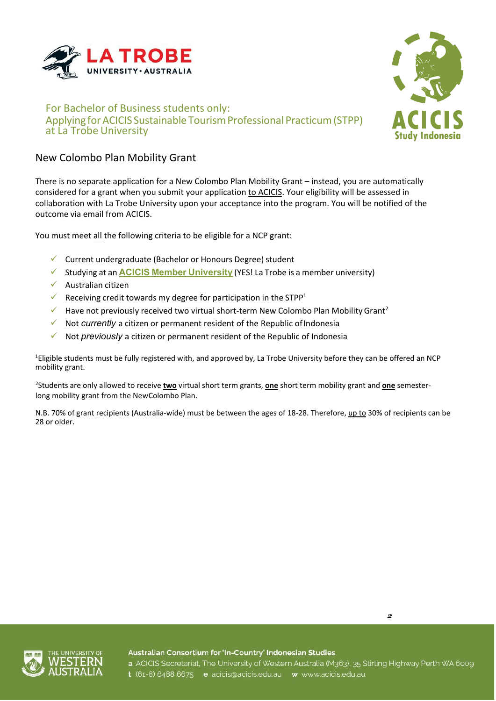



## New Colombo Plan Mobility Grant

There is no separate application for a New Colombo Plan Mobility Grant – instead, you are automatically considered for a grant when you submit your application to ACICIS. Your eligibility will be assessed in collaboration with La Trobe University upon your acceptance into the program. You will be notified of the outcome via email from ACICIS.

You must meet all the following criteria to be eligible for a NCP grant:

- $\checkmark$  Current undergraduate (Bachelor or Honours Degree) student
- Studying at an **ACICIS Member [University](http://www.acicis.edu.au/universities/member/)** (YES! La Trobe is a member university)
- $\checkmark$  Australian citizen
- Receiving credit towards my degree for participation in the STPP<sup>1</sup>
- Have not previously received two virtual short-term New Colombo Plan Mobility Grant<sup>2</sup>
- Not *currently* a citizen or permanent resident of the Republic ofIndonesia
- Not *previously* a citizen or permanent resident of the Republic of Indonesia

1 Eligible students must be fully registered with, and approved by, La Trobe University before they can be offered an NCP mobility grant.

2 Students are only allowed to receive **two** virtual short term grants, **one** short term mobility grant and **one** semesterlong mobility grant from the NewColombo Plan.

N.B. 70% of grant recipients (Australia-wide) must be between the ages of 18-28. Therefore, up to 30% of recipients can be 28 or older.



Australian Consortium for 'In-Country' Indonesian Studies a ACICIS Secretariat, The University of Western Australia (M363), 35 Stirling Highway Perth WA 6009

*2*

t (61-8) 6488 6675 e acicis@acicis.edu.au w www.acicis.edu.au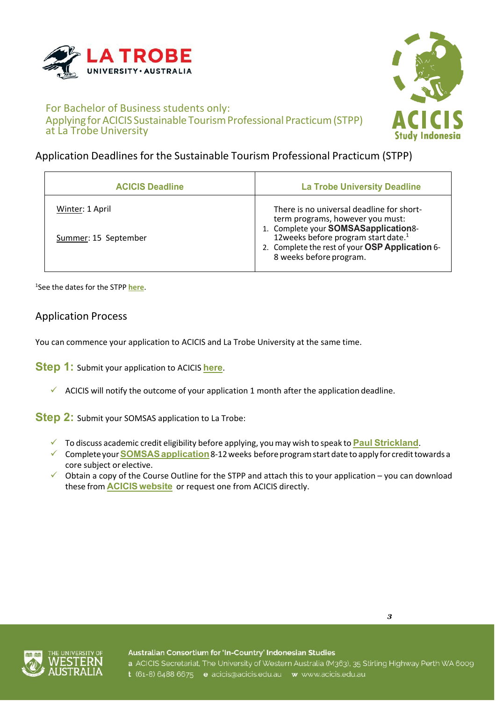



# Application Deadlines for the Sustainable Tourism Professional Practicum (STPP)

| <b>ACICIS Deadline</b>                  | <b>La Trobe University Deadline</b>                                                                                                                                                                                                                     |
|-----------------------------------------|---------------------------------------------------------------------------------------------------------------------------------------------------------------------------------------------------------------------------------------------------------|
| Winter: 1 April<br>Summer: 15 September | There is no universal deadline for short-<br>term programs, however you must:<br>1. Complete your SOMSASapplication8-<br>12 weeks before program start date. <sup>1</sup><br>2. Complete the rest of your OSP Application 6-<br>8 weeks before program. |

1 See the dates for the STPP **[here](http://www.acicis.edu.au/programs/practicum/dates/)**.

## Application Process

You can commence your application to ACICIS and La Trobe University at the same time.

**Step 1:** Submit your application to ACICIS **[here](https://fs9.formsite.com/acicis/form41/form_login.html)**.

 $\checkmark$  ACICIS will notify the outcome of your application 1 month after the application deadline.

**Step 2:** Submit your SOMSAS application to La Trobe:

- To discuss academic credit eligibility before applying, youmay wish to speak to **Paul [Strickland](mailto:p.strickland@latrobe.edu.au)**.
- Completeyour**[SOMSASapplication](https://uniforms.latrobe.edu.au/sites/lti/somsas)**8-12weeks beforeprogramstartdate to apply for credittowards a core subject or elective.
- $\checkmark$  Obtain a copy of the Course Outline for the STPP and attach this to your application you can download these from **ACICIS [website](http://www.acicis.edu.au/)** or request one from ACICIS directly.





Australian Consortium for 'In-Country' Indonesian Studies

a ACICIS Secretariat, The University of Western Australia (M363), 35 Stirling Highway Perth WA 6009 t (61-8) 6488 6675 e acicis@acicis.edu.au w www.acicis.edu.au